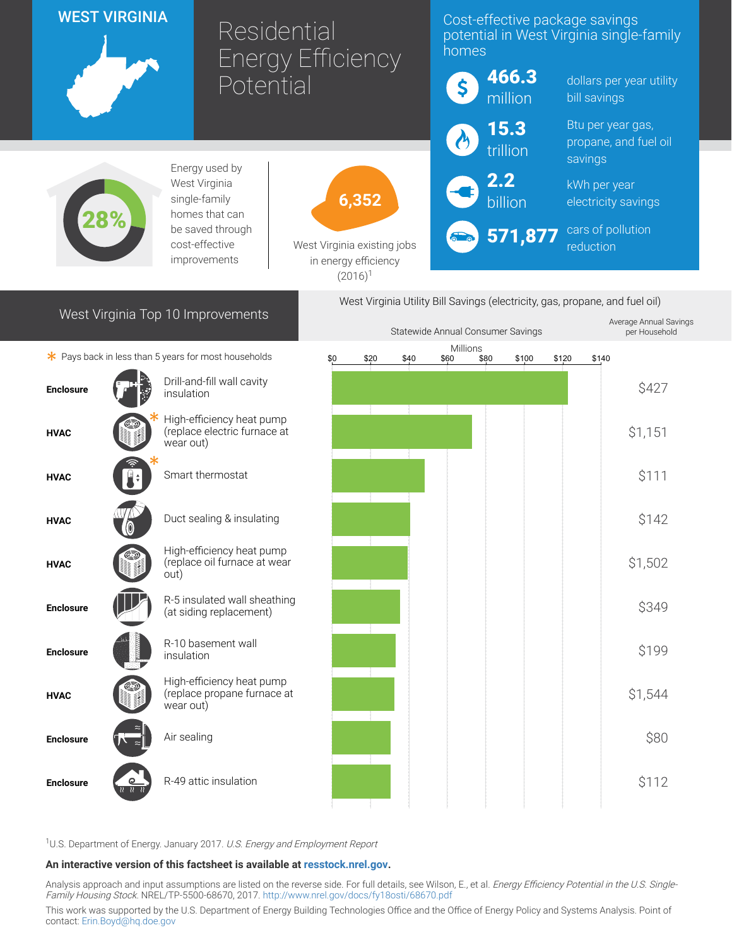| <b>WEST VIRGINIA</b>                                                         |      |                                                                        | Residential<br><b>Energy Efficiency</b> |                                           | Cost-effective package savings<br>potential in West Virginia single-family<br>homes |                  |                          |                                            |  |
|------------------------------------------------------------------------------|------|------------------------------------------------------------------------|-----------------------------------------|-------------------------------------------|-------------------------------------------------------------------------------------|------------------|--------------------------|--------------------------------------------|--|
|                                                                              |      | Potential                                                              |                                         | \$                                        | 466.3<br>million                                                                    | bill savings     | dollars per year utility |                                            |  |
|                                                                              |      |                                                                        |                                         |                                           |                                                                                     | 15.3<br>trillion |                          | Btu per year gas,<br>propane, and fuel oil |  |
|                                                                              |      | Energy used by<br>West Virginia                                        |                                         |                                           |                                                                                     | 2.2              | savings<br>kWh per year  |                                            |  |
| single-family<br>homes that can                                              |      |                                                                        | 6,352                                   |                                           |                                                                                     | billion          |                          | electricity savings                        |  |
|                                                                              |      | be saved through<br>cost-effective<br>improvements                     | in energy efficiency                    | West Virginia existing jobs<br>$(2016)^1$ |                                                                                     | 571,877          | reduction                | cars of pollution                          |  |
| West Virginia Utility Bill Savings (electricity, gas, propane, and fuel oil) |      |                                                                        |                                         |                                           |                                                                                     |                  |                          |                                            |  |
| West Virginia Top 10 Improvements                                            |      |                                                                        |                                         |                                           | Average Annual Savings<br>Statewide Annual Consumer Savings<br>per Household        |                  |                          |                                            |  |
|                                                                              |      | * Pays back in less than 5 years for most households                   | \$0<br>\$20                             | \$40                                      | Millions<br>\$80<br>\$60                                                            | \$100            | \$120<br>\$140           |                                            |  |
| <b>Enclosure</b>                                                             |      | Drill-and-fill wall cavity<br>insulation                               |                                         |                                           |                                                                                     |                  |                          | \$427                                      |  |
| <b>HVAC</b>                                                                  |      | High-efficiency heat pump<br>(replace electric furnace at<br>wear out) |                                         |                                           |                                                                                     |                  |                          | \$1,151                                    |  |
| <b>HVAC</b>                                                                  |      | Smart thermostat                                                       |                                         |                                           |                                                                                     |                  |                          | \$111                                      |  |
| <b>HVAC</b>                                                                  |      | Duct sealing & insulating                                              |                                         |                                           |                                                                                     |                  |                          | \$142                                      |  |
| <b>HVAC</b>                                                                  | out) | High-efficiency heat pump<br>(replace oil furnace at wear              |                                         |                                           |                                                                                     |                  |                          | \$1,502                                    |  |
| <b>Enclosure</b>                                                             |      | R-5 insulated wall sheathing<br>(at siding replacement)                |                                         |                                           |                                                                                     |                  |                          | \$349                                      |  |
| <b>Enclosure</b>                                                             |      | R-10 basement wall<br>insulation                                       |                                         |                                           |                                                                                     |                  |                          | \$199                                      |  |
| <b>HVAC</b>                                                                  |      | High-efficiency heat pump<br>(replace propane furnace at<br>wear out)  |                                         |                                           |                                                                                     |                  |                          | \$1,544                                    |  |
| <b>Enclosure</b>                                                             |      | Air sealing                                                            |                                         |                                           |                                                                                     |                  |                          | \$80                                       |  |
| <b>Enclosure</b>                                                             |      | R-49 attic insulation                                                  |                                         |                                           |                                                                                     |                  |                          | \$112                                      |  |

<sup>1</sup>U.S. Department of Energy. January 2017. U.S. Energy and Employment Report

## An interactive version of this factsheet is available at [resstock.nrel.gov.](https://resstock.nrel.gov/)

Analysis approach and input assumptions are listed on the reverse side. For full details, see Wilson, E., et al. *Energy Efficiency Potential in the U.S. Single*-Family Housing Stock. NREL/TP-5500-68670, 2017. <http://www.nrel.gov/docs/fy18osti/68670.pdf>

This work was supported by the U.S. Department of Energy Building Technologies Office and the Office of Energy Policy and Systems Analysis. Point of contact: [Erin.Boyd@hq.doe.gov](mailto:Erin.Boyd@hq.doe.gov)